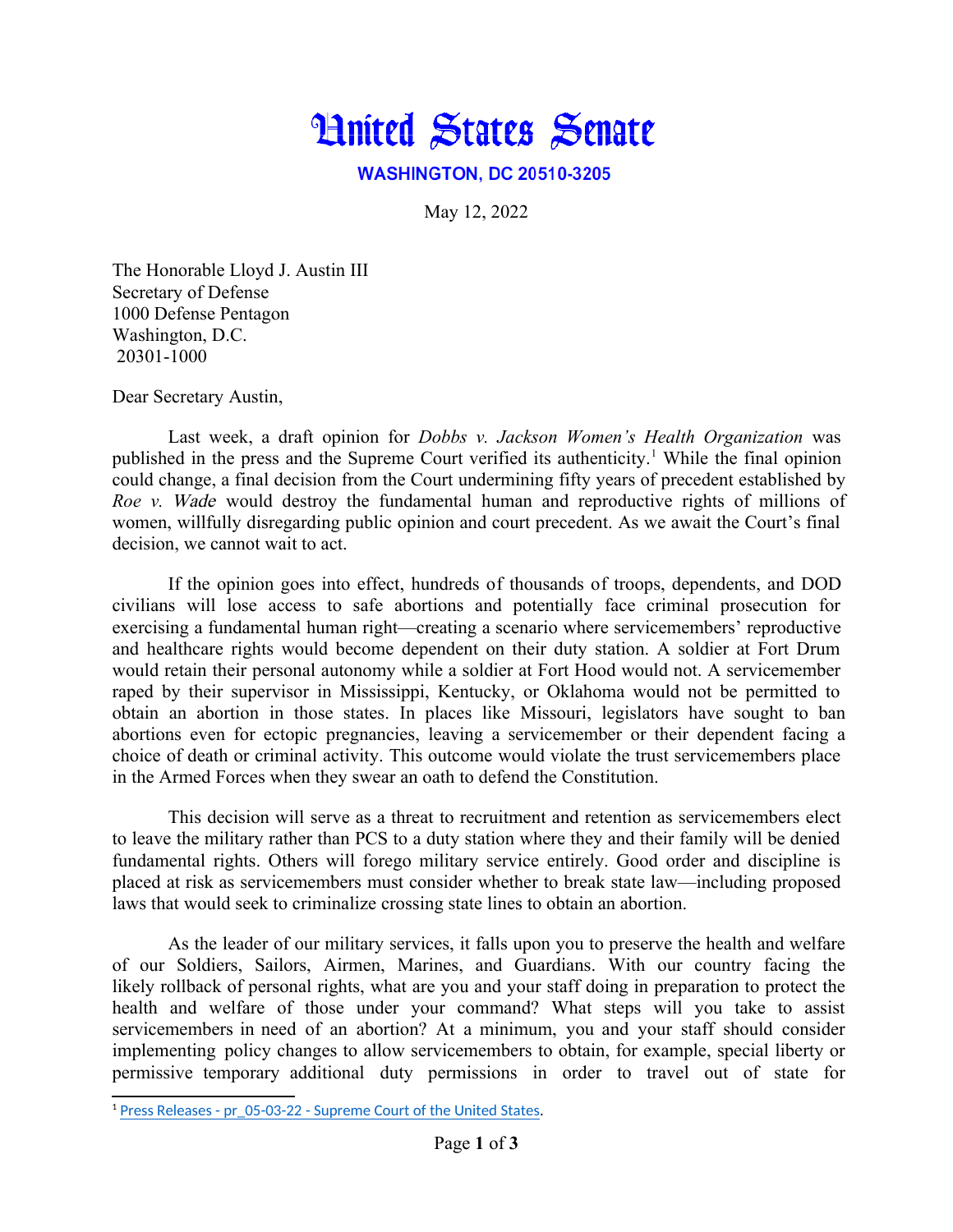

**WASHINGTON, DC 20510-3205** 

<span id="page-0-0"></span>May 12, 2022

The Honorable Lloyd J. Austin III Secretary of Defense 1000 Defense Pentagon Washington, D.C. 20301-1000

Dear Secretary Austin,

Last week, a draft opinion for *Dobbs v. Jackson Women's Health Organization* was published in the press and the Supreme Court verified its authenticity.<sup>[1](#page-0-1)</sup> While the final opinion could change, a final decision from the Court undermining fifty years of precedent established by *Roe v.* Wade would destroy the fundamental human and reproductive rights of millions of women, willfully disregarding public opinion and court precedent. As we await the Court's final decision, we cannot wait to act.

If the opinion goes into effect, hundreds of thousands of troops, dependents, and DOD civilians will lose access to safe abortions and potentially face criminal prosecution for exercising a fundamental human right—creating a scenario where servicemembers' reproductive and healthcare rights would become dependent on their duty station. A soldier at Fort Drum would retain their personal autonomy while a soldier at Fort Hood would not. A servicemember raped by their supervisor in Mississippi, Kentucky, or Oklahoma would not be permitted to obtain an abortion in those states. In places like Missouri, legislators have sought to ban abortions even for ectopic pregnancies, leaving a servicemember or their dependent facing a choice of death or criminal activity. This outcome would violate the trust servicemembers place in the Armed Forces when they swear an oath to defend the Constitution.

This decision will serve as a threat to recruitment and retention as servicemembers elect to leave the military rather than PCS to a duty station where they and their family will be denied fundamental rights. Others will forego military service entirely. Good order and discipline is placed at risk as servicemembers must consider whether to break state law—including proposed laws that would seek to criminalize crossing state lines to obtain an abortion.

As the leader of our military services, it falls upon you to preserve the health and welfare of our Soldiers, Sailors, Airmen, Marines, and Guardians. With our country facing the likely rollback of personal rights, what are you and your staff doing in preparation to protect the health and welfare of those under your command? What steps will you take to assist servicemembers in need of an abortion? At a minimum, you and your staff should consider implementing policy changes to allow servicemembers to obtain, for example, special liberty or permissive temporary additional duty permissions in order to travel out of state for

<span id="page-0-1"></span><sup>&</sup>lt;sup>[1](#page-0-0)</sup> [Press Releases - pr\\_05-03-22 - Supreme Court of the United States.](https://www.supremecourt.gov/publicinfo/press/pressreleases/pr_05-03-22)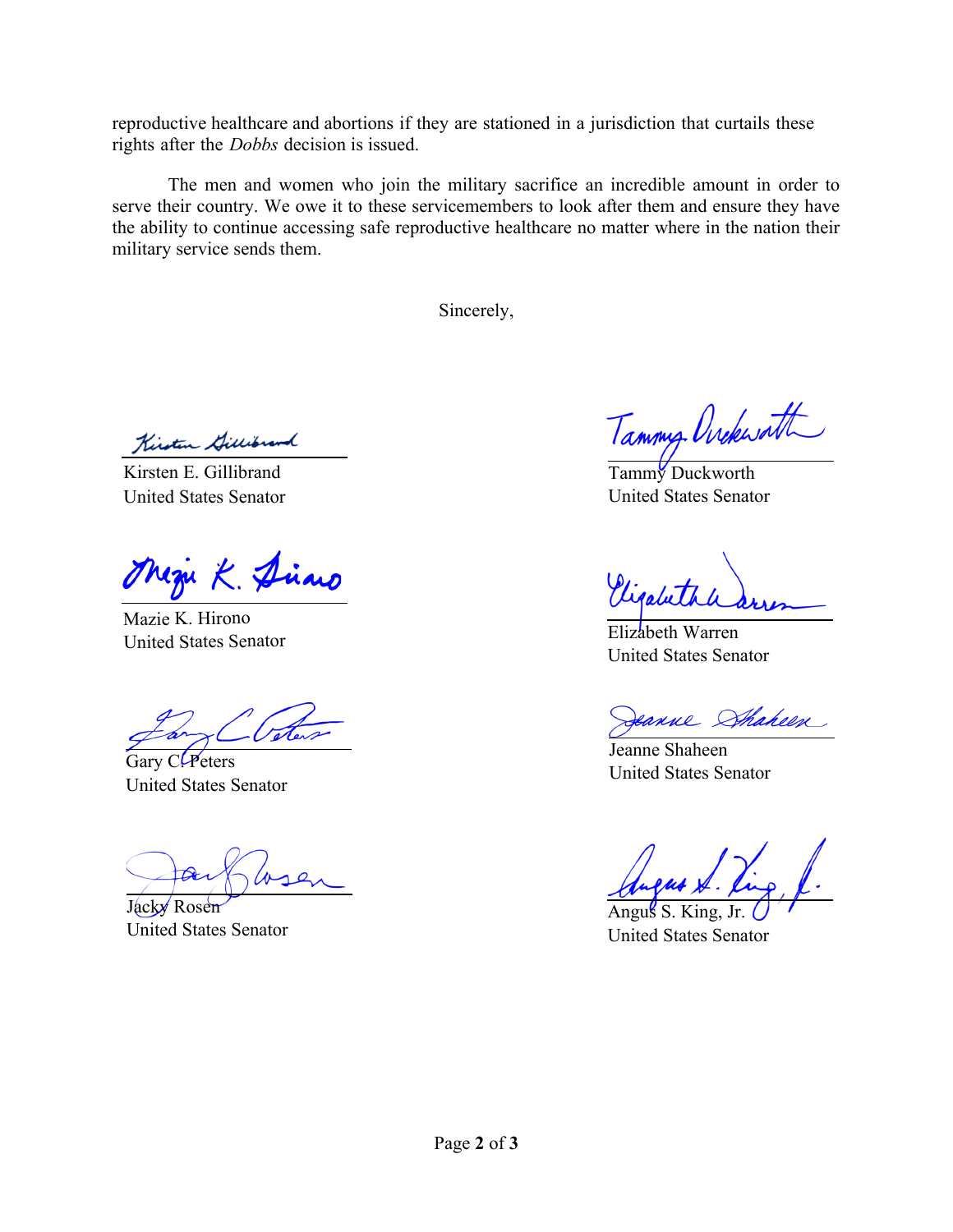reproductive healthcare and abortions if they are stationed in a jurisdiction that curtails these rights after the *Dobbs* decision is issued.

The men and women who join the military sacrifice an incredible amount in order to serve their country. We owe it to these servicemembers to look after them and ensure they have the ability to continue accessing safe reproductive healthcare no matter where in the nation their military service sends them.

Sincerely,

Kirsten Gillibrand

Kirsten E. Gillibrand United States Senator

uzu K. Dino

Mazie K. Hirono United States Senator Elizabeth Warren

Gary C. Peters United States Senator

Jacky Rosen United States Senator

Tammy Ovekwatt

Tammy Duckworth United States Senator

United States Senator

eanne Shaheen

Jeanne Shaheen United States Senator

Angus S. King, Jr. United States Senator